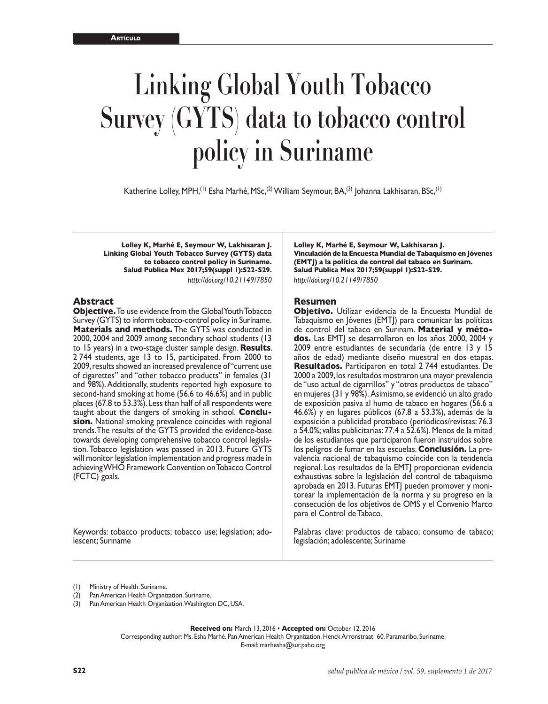# **Linking Global Youth Tobacco Survey (GYTS) data to tobacco control policy in Suriname**

Katherine Lolley, MPH,<sup>(1)</sup> Esha Marhé, MSc,<sup>(2)</sup> William Seymour, BA,<sup>(3)</sup> Johanna Lakhisaran, BSc,<sup>(1)</sup>

**Lolley K, Marhé E, Seymour W, Lakhisaran J. Linking Global Youth Tobacco Survey (GYTS) data to tobacco control policy in Suriname. Salud Publica Mex 2017;59(suppl 1):S22-S29.** *<http://doi.org/10.21149/7850>*

#### **Abstract**

**Objective.** To use evidence from the Global Youth Tobacco Survey (GYTS) to inform tobacco-control policy in Suriname. **Materials and methods.** The GYTS was conducted in 2000, 2004 and 2009 among secondary school students (13 to 15 years) in a two-stage cluster sample design. **Results**. 2 744 students, age 13 to 15, participated. From 2000 to 2009, results showed an increased prevalence of "current use of cigarettes" and "other tobacco products" in females (31 and 98%). Additionally, students reported high exposure to second-hand smoking at home (56.6 to 46.6%) and in public places (67.8 to 53.3%). Less than half of all respondents were taught about the dangers of smoking in school. **Conclusion.** National smoking prevalence coincides with regional trends. The results of the GYTS provided the evidence-base towards developing comprehensive tobacco control legislation. Tobacco legislation was passed in 2013. Future GYTS will monitor legislation implementation and progress made in achieving WHO Framework Convention on Tobacco Control (FCTC) goals.

Keywords: tobacco products; tobacco use; legislation; adolescent; Suriname

**Lolley K, Marhé E, Seymour W, Lakhisaran J. Vinculación de la Encuesta Mundial de Tabaquismo en Jóvenes (EMTJ) a la política de control del tabaco en Surinam. Salud Publica Mex 2017;59(suppl 1):S22-S29.** *<http://doi.org/10.21149/7850>*

#### **Resumen**

**Objetivo.** Utilizar evidencia de la Encuesta Mundial de Tabaquismo en Jóvenes (EMTJ) para comunicar las políticas de control del tabaco en Surinam. **Material y métodos.** Las EMTJ se desarrollaron en los años 2000, 2004 y 2009 entre estudiantes de secundaria (de entre 13 y 15 años de edad) mediante diseño muestral en dos etapas. **Resultados.** Participaron en total 2 744 estudiantes. De 2000 a 2009, los resultados mostraron una mayor prevalencia de "uso actual de cigarrillos" y "otros productos de tabaco" en mujeres (31 y 98%). Asimismo, se evidenció un alto grado de exposición pasiva al humo de tabaco en hogares (56.6 a 46.6%) y en lugares públicos (67.8 a 53.3%), además de la exposición a publicidad protabaco (periódicos/revistas: 76.3 a 54.0%; vallas publicitarias: 77.4 a 52.6%). Menos de la mitad de los estudiantes que participaron fueron instruidos sobre los peligros de fumar en las escuelas. **Conclusión.** La prevalencia nacional de tabaquismo coincide con la tendencia regional. Los resultados de la EMTJ proporcionan evidencia exhaustivas sobre la legislación del control de tabaquismo aprobada en 2013. Futuras EMTJ pueden promover y moni torear la implementación de la norma y su progreso en la consecución de los objetivos de OMS y el Convenio Marco para el Control de Tabaco.

Palabras clave: productos de tabaco; consumo de tabaco; legislación; adolescente; Suriname

(1) Ministry of Health. Suriname.

(2) Pan American Health Organization. Suriname.

(3) Pan American Health Organization. Washington DC, USA.

**Received on:** March 13, 2016 • **Accepted on:** October 12, 2016

Corresponding author: Ms. Esha Marhé. Pan American Health Organization. Henck Arronstraat 60. Paramaribo, Suriname. E-mail: [marhesha@sur.paho.org](mailto:marhesha@sur.paho.org)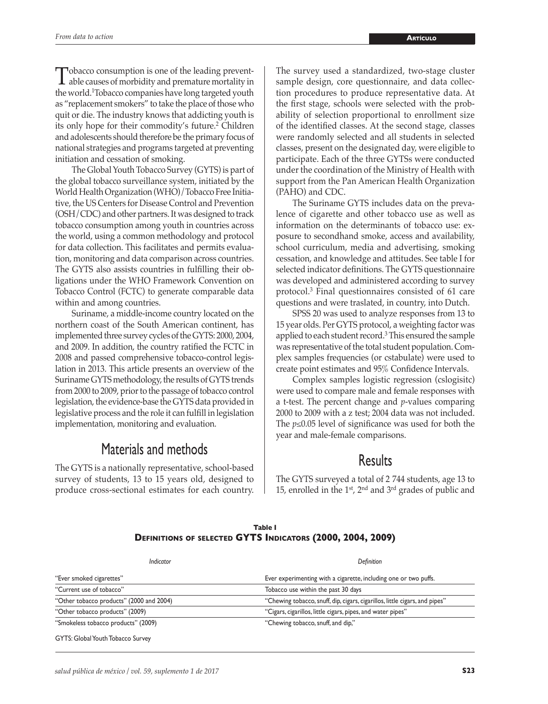Tobacco consumption is one of the leading prevent-<br>able causes of morbidity and premature mortality in<br>the second diffusion composited we have been to denote the world.1 Tobacco companies have long targeted youth as "replacement smokers" to take the place of those who quit or die. The industry knows that addicting youth is its only hope for their commodity's future.<sup>2</sup> Children and adolescents should therefore be the primary focus of national strategies and programs targeted at preventing initiation and cessation of smoking.

The Global Youth Tobacco Survey (GYTS) is part of the global tobacco surveillance system, initiated by the World Health Organization (WHO)/Tobacco Free Initiative, the US Centers for Disease Control and Prevention (OSH/CDC) and other partners. It was designed to track tobacco consumption among youth in countries across the world, using a common methodology and protocol for data collection. This facilitates and permits evaluation, monitoring and data comparison across countries. The GYTS also assists countries in fulfilling their obligations under the WHO Framework Convention on Tobacco Control (FCTC) to generate comparable data within and among countries.

Suriname, a middle-income country located on the northern coast of the South American continent, has implemented three survey cycles of the GYTS: 2000, 2004, and 2009. In addition, the country ratified the FCTC in 2008 and passed comprehensive tobacco-control legislation in 2013. This article presents an overview of the Suriname GYTS methodology, the results of GYTS trends from 2000 to 2009, prior to the passage of tobacco control legislation, the evidence-base the GYTS data provided in legislative process and the role it can fulfill in legislation implementation, monitoring and evaluation.

# Materials and methods

The GYTS is a nationally representative, school-based survey of students, 13 to 15 years old, designed to produce cross-sectional estimates for each country. The survey used a standardized, two-stage cluster sample design, core questionnaire, and data collection procedures to produce representative data. At the first stage, schools were selected with the probability of selection proportional to enrollment size of the identified classes. At the second stage, classes were randomly selected and all students in selected classes, present on the designated day, were eligible to participate. Each of the three GYTSs were conducted under the coordination of the Ministry of Health with support from the Pan American Health Organization (PAHO) and CDC.

The Suriname GYTS includes data on the prevalence of cigarette and other tobacco use as well as information on the determinants of tobacco use: exposure to secondhand smoke, access and availability, school curriculum, media and advertising, smoking cessation, and knowledge and attitudes. See table I for selected indicator definitions. The GYTS questionnaire was developed and administered according to survey protocol.3 Final questionnaires consisted of 61 care questions and were traslated, in country, into Dutch.

SPSS 20 was used to analyze responses from 13 to 15 year olds. Per GYTS protocol, a weighting factor was applied to each student record.<sup>3</sup> This ensured the sample was representative of the total student population. Complex samples frequencies (or cstabulate) were used to create point estimates and 95% Confidence Intervals.

Complex samples logistic regression (cslogisitc) were used to compare male and female responses with a t-test. The percent change and *p*-values comparing 2000 to 2009 with a z test; 2004 data was not included. The *p*≤0.05 level of significance was used for both the year and male-female comparisons.

# **Results**

The GYTS surveyed a total of 2 744 students, age 13 to 15, enrolled in the  $1<sup>st</sup>$ ,  $2<sup>nd</sup>$  and  $3<sup>rd</sup>$  grades of public and

|                                                            | Table I |  |  |
|------------------------------------------------------------|---------|--|--|
| DEFINITIONS OF SELECTED GYTS INDICATORS (2000, 2004, 2009) |         |  |  |

| Indicator                                | Definition                                                                  |
|------------------------------------------|-----------------------------------------------------------------------------|
| "Ever smoked cigarettes"                 | Ever experimenting with a cigarette, including one or two puffs.            |
| "Current use of tobacco"                 | Tobacco use within the past 30 days                                         |
| "Other tobacco products" (2000 and 2004) | "Chewing tobacco, snuff, dip, cigars, cigarillos, little cigars, and pipes" |
| "Other tobacco products" (2009)          | "Cigars, cigarillos, little cigars, pipes, and water pipes"                 |
| "Smokeless tobacco products" (2009)      | "Chewing tobacco, snuff, and dip,"                                          |
| GYTS: Global Youth Tobacco Survey        |                                                                             |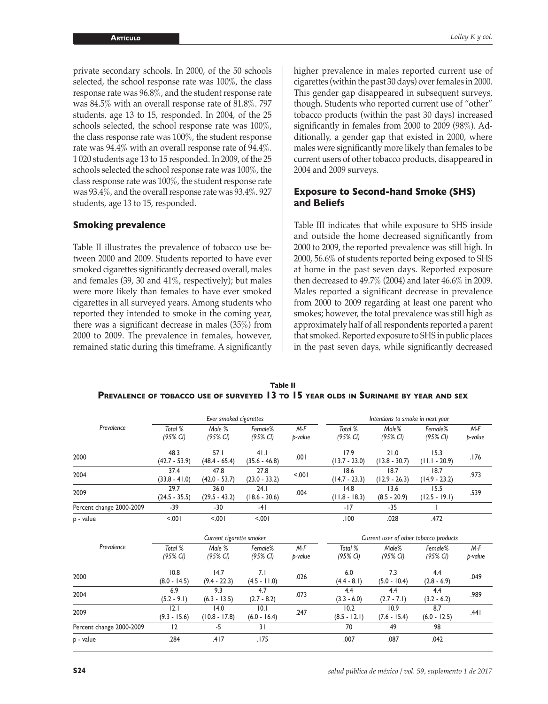private secondary schools. In 2000, of the 50 schools selected, the school response rate was 100%, the class response rate was 96.8%, and the student response rate was 84.5% with an overall response rate of 81.8%. 797 students, age 13 to 15, responded. In 2004, of the 25 schools selected, the school response rate was 100%, the class response rate was 100%, the student response rate was 94.4% with an overall response rate of 94.4%. 1 020 students age 13 to 15 responded. In 2009, of the 25 schools selected the school response rate was 100%, the class response rate was 100%, the student response rate was 93.4%, and the overall response rate was 93.4%. 927 students, age 13 to 15, responded.

#### **Smoking prevalence**

Table II illustrates the prevalence of tobacco use between 2000 and 2009. Students reported to have ever smoked cigarettes significantly decreased overall, males and females (39, 30 and 41%, respectively); but males were more likely than females to have ever smoked cigarettes in all surveyed years. Among students who reported they intended to smoke in the coming year, there was a significant decrease in males (35%) from 2000 to 2009. The prevalence in females, however, remained static during this timeframe. A significantly higher prevalence in males reported current use of cigarettes (within the past 30 days) over females in 2000. This gender gap disappeared in subsequent surveys, though. Students who reported current use of "other" tobacco products (within the past 30 days) increased significantly in females from 2000 to 2009 (98%). Additionally, a gender gap that existed in 2000, where males were significantly more likely than females to be current users of other tobacco products, disappeared in 2004 and 2009 surveys.

### **Exposure to Second-hand Smoke (SHS) and Beliefs**

Table III indicates that while exposure to SHS inside and outside the home decreased significantly from 2000 to 2009, the reported prevalence was still high. In 2000, 56.6% of students reported being exposed to SHS at home in the past seven days. Reported exposure then decreased to 49.7% (2004) and later 46.6% in 2009. Males reported a significant decrease in prevalence from 2000 to 2009 regarding at least one parent who smokes; however, the total prevalence was still high as approximately half of all respondents reported a parent that smoked. Reported exposure to SHS in public places in the past seven days, while significantly decreased

|                                                                                             | Table II |  |  |  |  |
|---------------------------------------------------------------------------------------------|----------|--|--|--|--|
| <b>PREVALENCE OF TOBACCO USE OF SURVEYED 13 TO 15 YEAR OLDS IN SURINAME BY YEAR AND SEX</b> |          |  |  |  |  |

|                          |                                | Ever smoked cigarettes        |                                |                  |                                | Intentions to smoke in next year |                                        |                  |
|--------------------------|--------------------------------|-------------------------------|--------------------------------|------------------|--------------------------------|----------------------------------|----------------------------------------|------------------|
| Prevalence               | Total %<br>$(95\% \text{ Cl})$ | Male %<br>(95% CI)            | Female%<br>$(95\% \text{ Cl})$ | M-F<br>p-value   | Total %<br>$(95\% \text{ Cl})$ | Male%<br>$(95\% \text{ Cl})$     | Female%<br>$(95\% \text{ Cl})$         | $M-F$<br>p-value |
| 2000                     | 48.3<br>$(42.7 - 53.9)$        | 57.1<br>$(48.4 - 65.4)$       | 41.1<br>$(35.6 - 46.8)$        | .001             | 17.9<br>$(13.7 - 23.0)$        | 21.0<br>$(13.8 - 30.7)$          | 15.3<br>$(11.1 - 20.9)$                | .176             |
| 2004                     | 37.4<br>$(33.8 - 41.0)$        | 47.8<br>$(42.0 - 53.7)$       | 27.8<br>$(23.0 - 33.2)$        | 5001             | 18.6<br>$(14.7 - 23.3)$        | 18.7<br>$(12.9 - 26.3)$          | 18.7<br>$(14.9 - 23.2)$                | .973             |
| 2009                     | 29.7<br>$(24.5 - 35.5)$        | 36.0<br>$(29.5 - 43.2)$       | 24.1<br>$(18.6 - 30.6)$        | .004             | 14.8<br>$(11.8 - 18.3)$        | 13.6<br>$(8.5 - 20.9)$           | 15.5<br>$(12.5 - 19.1)$                | .539             |
| Percent change 2000-2009 | $-39$                          | $-30$                         | $-41$                          |                  | $-17$                          | $-35$                            |                                        |                  |
| p - value                | 5.001                          | 5.001                         | < 0.01                         |                  | .100                           | .028                             | .472                                   |                  |
|                          |                                |                               |                                |                  |                                |                                  |                                        |                  |
|                          |                                | Current cigarette smoker      |                                |                  |                                |                                  | Current user of other tobacco products |                  |
| Prevalence               | Total %<br>$(95\% \text{ Cl})$ | Male %<br>$(95\% \text{ Cl})$ | Female%<br>$(95\% \text{ Cl})$ | $M-F$<br>p-value | Total %<br>$(95\% \text{ Cl})$ | Male%<br>$(95\% \text{ Cl})$     | Female%<br>$(95\% \text{ Cl})$         | M-F<br>p-value   |
| 2000                     | 10.8<br>$(8.0 - 14.5)$         | 14.7<br>$(9.4 - 22.3)$        | 7.1<br>$(4.5 - 11.0)$          | .026             | 6.0<br>$(4.4 - 8.1)$           | 7.3<br>$(5.0 - 10.4)$            | 4.4<br>$(2.8 - 6.9)$                   | .049             |
| 2004                     | 6.9<br>$(5.2 - 9.1)$           | 9.3<br>$(6.3 - 13.5)$         | 4.7<br>$(2.7 - 8.2)$           | .073             | 4.4<br>$(3.3 - 6.0)$           | 4.4<br>$(2.7 - 7.1)$             | 4.4<br>$(3.2 - 6.2)$                   | .989             |
| 2009                     | 2.1<br>$(9.3 - 15.6)$          | 14.0<br>$(10.8 - 17.8)$       | 10.1<br>$(6.0 - 16.4)$         | .247             | 10.2<br>$(8.5 - 12.1)$         | 10.9<br>$(7.6 - 15.4)$           | 8.7<br>$(6.0 - 12.5)$                  | .441             |
| Percent change 2000-2009 | 12                             | $-5$                          | 31                             |                  | 70                             | 49                               | 98                                     |                  |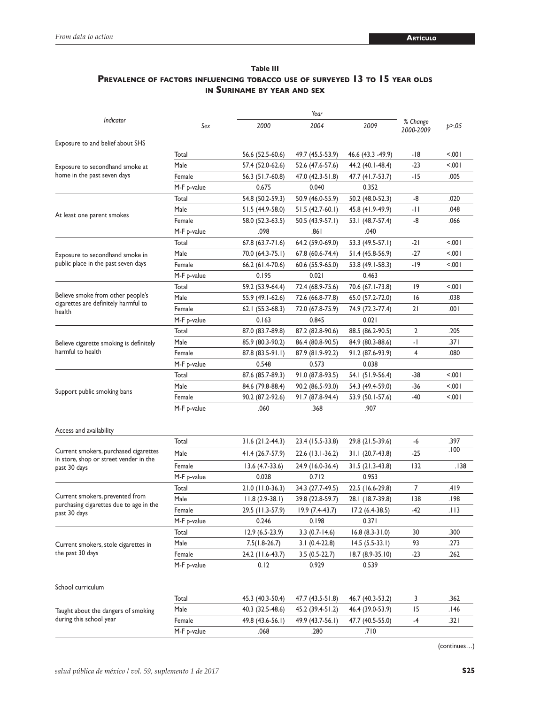## **Table III Prevalence of factors influencing tobacco use of surveyed 13 to 15 year olds in Suriname by year and sex**

|                                                                           |             | Year              |                  |                    |                       |                                                           |  |
|---------------------------------------------------------------------------|-------------|-------------------|------------------|--------------------|-----------------------|-----------------------------------------------------------|--|
| Indicator                                                                 | Sex         | 2000              | 2004             | 2009               | % Change<br>2000-2009 | p > 0.05                                                  |  |
| Exposure to and belief about SHS                                          |             |                   |                  |                    |                       |                                                           |  |
|                                                                           | Total       | 56.6 (52.5-60.6)  | 49.7 (45.5-53.9) | 46.6 (43.3 - 49.9) | -18                   | < 0.01                                                    |  |
| Exposure to secondhand smoke at                                           | Male        | 57.4 (52.0-62.6)  | 52.6 (47.6-57.6) | 44.2 (40.1-48.4)   | -23                   | 100.5                                                     |  |
| home in the past seven days                                               | Female      | 56.3 (51.7-60.8)  | 47.0 (42.3-51.8) | 47.7 (41.7-53.7)   | -15                   | .005                                                      |  |
|                                                                           | M-F p-value | 0.675             | 0.040            | 0.352              |                       |                                                           |  |
|                                                                           | Total       | 54.8 (50.2-59.3)  | 50.9 (46.0-55.9) | 50.2 (48.0-52.3)   | -8                    | .020                                                      |  |
| At least one parent smokes                                                | Male        | 51.5 (44.9-58.0)  | 51.5 (42.7-60.1) | 45.8 (41.9-49.9)   | -11                   | .048                                                      |  |
|                                                                           | Female      | 58.0 (52.3-63.5)  | 50.5 (43.9-57.1) | 53.1 (48.7-57.4)   | -8                    | .066                                                      |  |
|                                                                           | M-F p-value | .098              | ا 86.            | .040               |                       |                                                           |  |
|                                                                           | Total       | $67.8(63.7-71.6)$ | 64.2 (59.0-69.0) | 53.3 (49.5-57.1)   | -21                   | $100$ .                                                   |  |
| Exposure to secondhand smoke in                                           | Male        | 70.0 (64.3-75.1)  | 67.8 (60.6-74.4) | 51.4 (45.8-56.9)   | -27                   | 100.5                                                     |  |
| public place in the past seven days                                       | Female      | 66.2 (61.4-70.6)  | 60.6 (55.9-65.0) | 53.8 (49.1-58.3)   | -19                   | $100$ .<br>< 0.01<br>.038<br>.001<br>.205<br>.371<br>.080 |  |
|                                                                           | M-F p-value | 0.195             | 0.021            | 0.463              |                       |                                                           |  |
|                                                                           | Total       | 59.2 (53.9-64.4)  | 72.4 (68.9-75.6) | 70.6 (67.1-73.8)   | 19                    |                                                           |  |
| Believe smoke from other people's<br>cigarettes are definitely harmful to | Male        | 55.9 (49.1-62.6)  | 72.6 (66.8-77.8) | 65.0 (57.2-72.0)   | 16                    |                                                           |  |
| health                                                                    | Female      | 62.1 (55.3-68.3)  | 72.0 (67.8-75.9) | 74.9 (72.3-77.4)   | 21                    |                                                           |  |
|                                                                           | M-F p-value | 0.163             | 0.845            | 0.021              |                       |                                                           |  |
|                                                                           | Total       | 87.0 (83.7-89.8)  | 87.2 (82.8-90.6) | 88.5 (86.2-90.5)   | 2                     |                                                           |  |
| Believe cigarette smoking is definitely                                   | Male        | 85.9 (80.3-90.2)  | 86.4 (80.8-90.5) | 84.9 (80.3-88.6)   | -1                    |                                                           |  |
| harmful to health                                                         | Female      | 87.8 (83.5-91.1)  | 87.9 (81.9-92.2) | 91.2 (87.6-93.9)   | 4                     |                                                           |  |
|                                                                           | M-F p-value | 0.548             | 0.573            | 0.038              |                       |                                                           |  |
|                                                                           | Total       | 87.6 (85.7-89.3)  | 91.0 (87.8-93.5) | 54.1 (51.9-56.4)   | -38                   | $100$ .                                                   |  |
| Support public smoking bans                                               | Male        | 84.6 (79.8-88.4)  | 90.2 (86.5-93.0) | 54.3 (49.4-59.0)   | -36                   | $100$ .                                                   |  |
|                                                                           | Female      | 90.2 (87.2-92.6)  | 91.7 (87.8-94.4) | 53.9 (50.1-57.6)   | -40                   | $100$ .                                                   |  |
|                                                                           | M-F p-value | .060              | .368             | .907               |                       |                                                           |  |
| Access and availability                                                   |             |                   |                  |                    |                       |                                                           |  |
|                                                                           | Total       | $31.6(21.2-44.3)$ | 23.4 (15.5-33.8) | 29.8 (21.5-39.6)   | -6                    | .397                                                      |  |
| Current smokers, purchased cigarettes                                     | Male        | 41.4 (26.7-57.9)  | 22.6 (13.1-36.2) | 31.1 (20.7-43.8)   | -25                   | .100                                                      |  |
| in store, shop or street vender in the<br>past 30 days                    | Female      | $13.6(4.7-33.6)$  | 24.9 (16.0-36.4) | $31.5(21.3-43.8)$  | 132                   | . I 38                                                    |  |
|                                                                           | M-F p-value | 0.028             | 0.712            | 0.953              |                       |                                                           |  |
|                                                                           | Total       | 21.0 (11.0-36.3)  | 34.3 (27.7-49.5) | 22.5 (16.6-29.8)   | 7                     | .419                                                      |  |
| Current smokers, prevented from                                           | Male        | $11.8(2.9-38.1)$  | 39.8 (22.8-59.7) | 28.1 (18.7-39.8)   | 138                   | .198                                                      |  |
| purchasing cigarettes due to age in the<br>past 30 days                   | Female      | 29.5 (11.3-57.9)  | 19.9 (7.4-43.7)  | $17.2(6.4-38.5)$   | -42                   | . I I 3                                                   |  |
|                                                                           | M-F p-value | 0.246             | 0.198            | 0.371              |                       |                                                           |  |
|                                                                           | Total       | $12.9(6.5-23.9)$  | $3.3(0.7-14.6)$  | $16.8(8.3-31.0)$   | 30                    | .300                                                      |  |
| Current smokers, stole cigarettes in                                      | Male        | $7.5(1.8-26.7)$   | $3.1(0.4-22.8)$  | $14.5(5.5-33.1)$   | 93                    | .273                                                      |  |
| the past 30 days                                                          | Female      | 24.2 (11.6-43.7)  | $3.5(0.5-22.7)$  | 18.7 (8.9-35.10)   | $-23$                 | .262                                                      |  |
|                                                                           | M-F p-value | 0.12              | 0.929            | 0.539              |                       |                                                           |  |
| School curriculum                                                         |             |                   |                  |                    |                       |                                                           |  |
|                                                                           | Total       | 45.3 (40.3-50.4)  | 47.7 (43.5-51.8) | 46.7 (40.3-53.2)   | 3                     | .362                                                      |  |
| Taught about the dangers of smoking                                       | Male        | 40.3 (32.5-48.6)  | 45.2 (39.4-51.2) | 46.4 (39.0-53.9)   | 15                    | .146                                                      |  |
| during this school year                                                   | Female      | 49.8 (43.6-56.1)  | 49.9 (43.7-56.1) | 47.7 (40.5-55.0)   | -4                    | .321                                                      |  |
|                                                                           | M-F p-value | .068              | .280             | .710               |                       |                                                           |  |
|                                                                           |             |                   |                  |                    |                       |                                                           |  |

(continues…)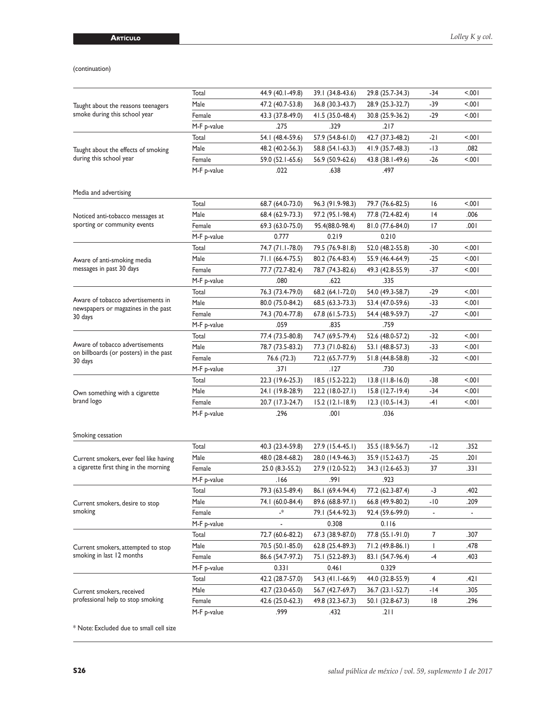|                                                                  | Total                | 44.9 (40.1-49.8)                     | 39.1 (34.8-43.6)                     | 29.8 (25.7-34.3)                     | -34                             | $500 -$                          |
|------------------------------------------------------------------|----------------------|--------------------------------------|--------------------------------------|--------------------------------------|---------------------------------|----------------------------------|
| Taught about the reasons teenagers                               | Male                 | 47.2 (40.7-53.8)                     | 36.8 (30.3-43.7)                     | 28.9 (25.3-32.7)                     | -39                             | 5.001                            |
| smoke during this school year                                    | Female               | 43.3 (37.8-49.0)                     | 41.5 (35.0-48.4)                     | 30.8 (25.9-36.2)                     | -29                             | $500 -$                          |
|                                                                  | M-F p-value          | .275                                 | .329                                 | .217                                 |                                 |                                  |
|                                                                  | Total                | 54.1 (48.4-59.6)                     | 57.9 (54.8-61.0)                     | 42.7 (37.3-48.2)                     | -21                             | $500 -$                          |
| Taught about the effects of smoking                              | Male                 | 48.2 (40.2-56.3)                     | 58.8 (54.1-63.3)                     | 41.9 (35.7-48.3)                     | -13                             | .082                             |
| during this school year                                          | Female               | 59.0 (52.1-65.6)                     | 56.9 (50.9-62.6)                     | 43.8 (38.1-49.6)                     | -26                             | $500 -$                          |
|                                                                  | M-F p-value          | .022                                 | .638                                 | .497                                 |                                 |                                  |
| Media and advertising                                            |                      |                                      |                                      |                                      |                                 |                                  |
|                                                                  | Total                | 68.7 (64.0-73.0)                     | 96.3 (91.9-98.3)                     | 79.7 (76.6-82.5)                     | 16                              | $500 -$                          |
| Noticed anti-tobacco messages at<br>sporting or community events | Male                 | 68.4 (62.9-73.3)                     | 97.2 (95.1-98.4)                     | 77.8 (72.4-82.4)                     | 14                              | .006                             |
|                                                                  | Female               | 69.3 (63.0-75.0)                     | 95.4(88.0-98.4)                      | 81.0 (77.6-84.0)                     | 17                              | 00۱.                             |
|                                                                  | M-F p-value          | 0.777                                | 0.219                                | 0.210                                |                                 |                                  |
|                                                                  | Total                | 74.7 (71.1-78.0)                     | 79.5 (76.9-81.8)                     | 52.0 (48.2-55.8)                     | -30                             | $500 -$                          |
| Aware of anti-smoking media                                      | Male                 | 71.1 (66.4-75.5)                     | 80.2 (76.4-83.4)                     | 55.9 (46.4-64.9)                     | -25                             | $500 -$                          |
| messages in past 30 days                                         | Female               | 77.7 (72.7-82.4)                     | 78.7 (74.3-82.6)                     | 49.3 (42.8-55.9)                     | -37                             | $500 -$                          |
|                                                                  | M-F p-value          | .080                                 | .622                                 | .335                                 |                                 |                                  |
|                                                                  | Total                | 76.3 (73.4-79.0)                     | 68.2 (64.1-72.0)                     | 54.0 (49.3-58.7)                     | -29                             | $500 -$                          |
| Aware of tobacco advertisements in                               | Male                 | 80.0 (75.0-84.2)                     | 68.5 (63.3-73.3)                     | 53.4 (47.0-59.6)                     | -33                             | $500 -$                          |
| newspapers or magazines in the past                              | Female               | 74.3 (70.4-77.8)                     | 67.8 (61.5-73.5)                     | 54.4 (48.9-59.7)                     | -27                             | $500 -$                          |
| 30 days                                                          | M-F p-value          | .059                                 | .835                                 | .759                                 |                                 |                                  |
|                                                                  | Total                | 77.4 (73.5-80.8)                     | 74.7 (69.5-79.4)                     | 52.6 (48.0-57.2)                     | -32                             | $500 -$                          |
| Aware of tobacco advertisements                                  | Male                 | 78.7 (73.5-83.2)                     | 77.3 (71.0-82.6)                     | 53.1 (48.8-57.3)                     | -33                             | $500 -$                          |
| on billboards (or posters) in the past                           | Female               | 76.6 (72.3)                          | 72.2 (65.7-77.9)                     | 51.8 (44.8-58.8)                     | $-32$                           | $500 -$                          |
| 30 days                                                          | M-F p-value          | ا 37.                                | .127                                 | .730                                 |                                 |                                  |
|                                                                  | Total                | 22.3 (19.6-25.3)                     | 18.5 (15.2-22.2)                     | $13.8$ (11.8-16.0)                   | -38                             | 5.001                            |
|                                                                  | Male                 | 24.1 (19.8-28.9)                     | 22.2 (18.0-27.1)                     | $15.8(12.7-19.4)$                    | -34                             | $500 -$                          |
| Own something with a cigarette<br>brand logo                     | Female               | 20.7 (17.3-24.7)                     | $15.2$ (12.1-18.9)                   | $12.3(10.5-14.3)$                    | -41                             | $500 -$                          |
|                                                                  | M-F p-value          | .296                                 | .001                                 | .036                                 |                                 |                                  |
| Smoking cessation                                                |                      |                                      |                                      |                                      |                                 |                                  |
|                                                                  | Total                | 40.3 (23.4-59.8)                     | 27.9 (15.4-45.1)                     | 35.5 (18.9-56.7)                     | -12                             | .352                             |
| Current smokers, ever feel like having                           | Male                 | 48.0 (28.4-68.2)                     | 28.0 (14.9-46.3)                     | 35.9 (15.2-63.7)                     | -25                             | ا 20.                            |
| a cigarette first thing in the morning                           | Female               | 25.0 (8.3-55.2)                      | 27.9 (12.0-52.2)                     | 34.3 (12.6-65.3)                     | 37                              | .331                             |
|                                                                  |                      |                                      |                                      |                                      |                                 |                                  |
|                                                                  |                      | .166                                 | .99۱                                 | .923                                 |                                 |                                  |
|                                                                  | M-F p-value<br>Total |                                      |                                      |                                      | -3                              | .402                             |
|                                                                  |                      | 79.3 (63.5-89.4)                     | 86.1 (69.4-94.4)                     | 77.2 (62.3-87.4)                     |                                 |                                  |
| Current smokers, desire to stop<br>smoking                       | Male                 | 74.1 (60.0-84.4)<br>.∗               | 89.6 (68.8-97.1)                     | 66.8 (49.9-80.2)                     | -10<br>$\overline{\phantom{a}}$ | .209<br>$\overline{\phantom{a}}$ |
|                                                                  | Female               |                                      | 79.1 (54.4-92.3)<br>0.308            | 92.4 (59.6-99.0)<br>0.116            |                                 |                                  |
|                                                                  | M-F p-value<br>Total |                                      |                                      |                                      | 7                               | .307                             |
|                                                                  | Male                 | 72.7 (60.6-82.2)<br>70.5 (50.1-85.0) | 67.3 (38.9-87.0)                     | 77.8 (55.1-91.0)                     | $\mathbf{I}$                    | .478                             |
| Current smokers, attempted to stop<br>smoking in last 12 months  | Female               |                                      | 62.8 (25.4-89.3)                     | 71.2 (49.8-86.1)                     | -4                              | .403                             |
|                                                                  |                      | 86.6 (54.7-97.2)                     | 75.1 (52.2-89.3)                     | 83.1 (54.7-96.4)                     |                                 |                                  |
|                                                                  | M-F p-value          | 0.331                                | 0.461                                | 0.329                                |                                 |                                  |
|                                                                  | Total                | 42.2 (28.7-57.0)                     | 54.3 (41.1-66.9)                     | 44.0 (32.8-55.9)                     | 4                               | ا 42.                            |
| Current smokers, received<br>professional help to stop smoking   | Male<br>Female       | 42.7 (23.0-65.0)<br>42.6 (25.0-62.3) | 56.7 (42.7-69.7)<br>49.8 (32.3-67.3) | 36.7 (23.1-52.7)<br>50.1 (32.8-67.3) | -14<br>18                       | .305<br>.296                     |

\* Note: Excluded due to small cell size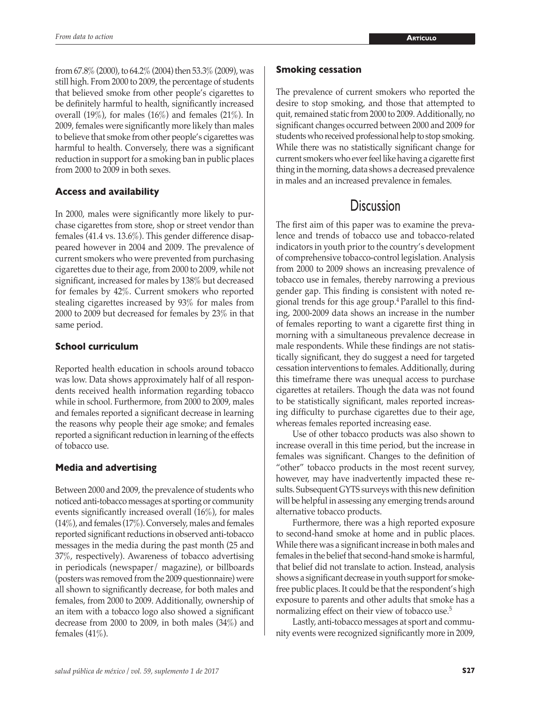from 67.8% (2000), to 64.2% (2004) then 53.3% (2009), was still high. From 2000 to 2009, the percentage of students that believed smoke from other people's cigarettes to be definitely harmful to health, significantly increased overall  $(19\%)$ , for males  $(16\%)$  and females  $(21\%)$ . In 2009, females were significantly more likely than males to believe that smoke from other people's cigarettes was harmful to health. Conversely, there was a significant reduction in support for a smoking ban in public places from 2000 to 2009 in both sexes.

# **Access and availability**

In 2000, males were significantly more likely to purchase cigarettes from store, shop or street vendor than females (41.4 vs. 13.6%). This gender difference disappeared however in 2004 and 2009. The prevalence of current smokers who were prevented from purchasing cigarettes due to their age, from 2000 to 2009, while not significant, increased for males by 138% but decreased for females by 42%. Current smokers who reported stealing cigarettes increased by 93% for males from 2000 to 2009 but decreased for females by 23% in that same period.

## **School curriculum**

Reported health education in schools around tobacco was low. Data shows approximately half of all respondents received health information regarding tobacco while in school. Furthermore, from 2000 to 2009, males and females reported a significant decrease in learning the reasons why people their age smoke; and females reported a significant reduction in learning of the effects of tobacco use.

## **Media and advertising**

Between 2000 and 2009, the prevalence of students who noticed anti-tobacco messages at sporting or community events significantly increased overall (16%), for males (14%), and females (17%). Conversely, males and females reported significant reductions in observed anti-tobacco messages in the media during the past month (25 and 37%, respectively). Awareness of tobacco advertising in periodicals (newspaper/ magazine), or billboards (posters was removed from the 2009 questionnaire) were all shown to significantly decrease, for both males and females, from 2000 to 2009. Additionally, ownership of an item with a tobacco logo also showed a significant decrease from 2000 to 2009, in both males (34%) and females (41%).

### **Smoking cessation**

The prevalence of current smokers who reported the desire to stop smoking, and those that attempted to quit, remained static from 2000 to 2009. Additionally, no significant changes occurred between 2000 and 2009 for students who received professional help to stop smoking. While there was no statistically significant change for current smokers who ever feel like having a cigarette first thing in the morning, data shows a decreased prevalence in males and an increased prevalence in females.

# **Discussion**

The first aim of this paper was to examine the prevalence and trends of tobacco use and tobacco-related indicators in youth prior to the country's development of comprehensive tobacco-control legislation. Analysis from 2000 to 2009 shows an increasing prevalence of tobacco use in females, thereby narrowing a previous gender gap. This finding is consistent with noted regional trends for this age group.<sup>4</sup>Parallel to this finding, 2000-2009 data shows an increase in the number of females reporting to want a cigarette first thing in morning with a simultaneous prevalence decrease in male respondents. While these findings are not statistically significant, they do suggest a need for targeted cessation interventions to females. Additionally, during this timeframe there was unequal access to purchase cigarettes at retailers. Though the data was not found to be statistically significant, males reported increasing difficulty to purchase cigarettes due to their age, whereas females reported increasing ease.

Use of other tobacco products was also shown to increase overall in this time period, but the increase in females was significant. Changes to the definition of "other" tobacco products in the most recent survey, however, may have inadvertently impacted these results. Subsequent GYTS surveys with this new definition will be helpful in assessing any emerging trends around alternative tobacco products.

Furthermore, there was a high reported exposure to second-hand smoke at home and in public places. While there was a significant increase in both males and females in the belief that second-hand smoke is harmful, that belief did not translate to action. Instead, analysis shows a significant decrease in youth support for smokefree public places. It could be that the respondent's high exposure to parents and other adults that smoke has a normalizing effect on their view of tobacco use.<sup>5</sup>

Lastly, anti-tobacco messages at sport and community events were recognized significantly more in 2009,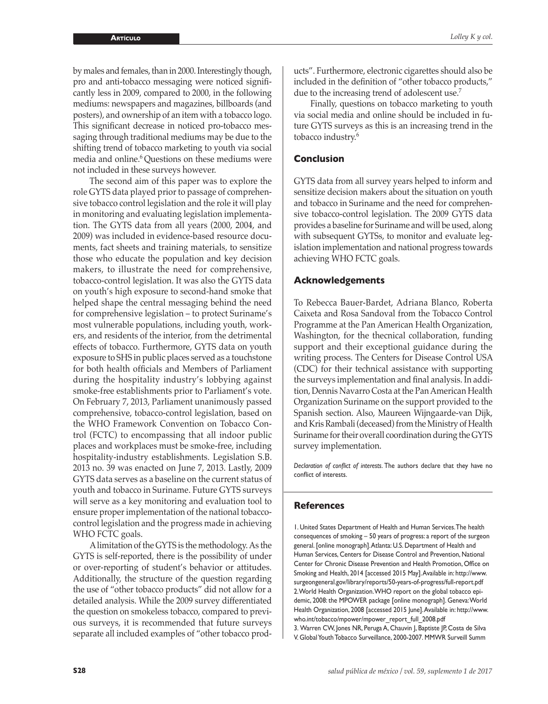by males and females, than in 2000. Interestingly though, pro and anti-tobacco messaging were noticed significantly less in 2009, compared to 2000, in the following mediums: newspapers and magazines, billboards (and posters), and ownership of an item with a tobacco logo. This significant decrease in noticed pro-tobacco messaging through traditional mediums may be due to the shifting trend of tobacco marketing to youth via social media and online.<sup>6</sup> Questions on these mediums were not included in these surveys however.

The second aim of this paper was to explore the role GYTS data played prior to passage of comprehensive tobacco control legislation and the role it will play in monitoring and evaluating legislation implementation. The GYTS data from all years (2000, 2004, and 2009) was included in evidence-based resource documents, fact sheets and training materials, to sensitize those who educate the population and key decision makers, to illustrate the need for comprehensive, tobacco-control legislation. It was also the GYTS data on youth's high exposure to second-hand smoke that helped shape the central messaging behind the need for comprehensive legislation – to protect Suriname's most vulnerable populations, including youth, workers, and residents of the interior, from the detrimental effects of tobacco. Furthermore, GYTS data on youth exposure to SHS in public places served as a touchstone for both health officials and Members of Parliament during the hospitality industry's lobbying against smoke-free establishments prior to Parliament's vote. On February 7, 2013, Parliament unanimously passed comprehensive, tobacco-control legislation, based on the WHO Framework Convention on Tobacco Control (FCTC) to encompassing that all indoor public places and workplaces must be smoke-free, including hospitality-industry establishments. Legislation S.B. 2013 no. 39 was enacted on June 7, 2013. Lastly, 2009 GYTS data serves as a baseline on the current status of youth and tobacco in Suriname. Future GYTS surveys will serve as a key monitoring and evaluation tool to ensure proper implementation of the national tobaccocontrol legislation and the progress made in achieving WHO FCTC goals.

A limitation of the GYTS is the methodology. As the GYTS is self-reported, there is the possibility of under or over-reporting of student's behavior or attitudes. Additionally, the structure of the question regarding the use of "other tobacco products" did not allow for a detailed analysis. While the 2009 survey differentiated the question on smokeless tobacco, compared to previous surveys, it is recommended that future surveys separate all included examples of "other tobacco products". Furthermore, electronic cigarettes should also be included in the definition of "other tobacco products," due to the increasing trend of adolescent use.<sup>7</sup>

Finally, questions on tobacco marketing to youth via social media and online should be included in future GYTS surveys as this is an increasing trend in the tobacco industry.<sup>6</sup>

### **Conclusion**

GYTS data from all survey years helped to inform and sensitize decision makers about the situation on youth and tobacco in Suriname and the need for comprehensive tobacco-control legislation. The 2009 GYTS data provides a baseline for Suriname and will be used, along with subsequent GYTSs, to monitor and evaluate legislation implementation and national progress towards achieving WHO FCTC goals.

#### **Acknowledgements**

To Rebecca Bauer-Bardet, Adriana Blanco, Roberta Caixeta and Rosa Sandoval from the Tobacco Control Programme at the Pan American Health Organization, Washington, for the thecnical collaboration, funding support and their exceptional guidance during the writing process. The Centers for Disease Control USA (CDC) for their technical assistance with supporting the surveys implementation and final analysis. In addition, Dennis Navarro Costa at the Pan American Health Organization Suriname on the support provided to the Spanish section. Also, Maureen Wijngaarde-van Dijk, and Kris Rambali (deceased) from the Ministry of Health Suriname for their overall coordination during the GYTS survey implementation.

*Declaration of conflict of interests*. The authors declare that they have no conflict of interests.

#### **References**

1. United States Department of Health and Human Services. The health consequences of smoking – 50 years of progress: a report of the surgeon general. [online monograph]. Atlanta: U.S. Department of Health and Human Services, Centers for Disease Control and Prevention, National Center for Chronic Disease Prevention and Health Promotion, Office on Smoking and Health, 2014 [accessed 2015 May]. Available in: [http://www.](http://www.surgeongeneral.gov/library/reports/50-years-of-progress/full-report.pdf) [surgeongeneral.gov/library/reports/50-years-of-progress/full-report.pdf](http://www.surgeongeneral.gov/library/reports/50-years-of-progress/full-report.pdf) 2. World Health Organization. WHO report on the global tobacco epidemic, 2008: the MPOWER package [online monograph]. Geneva: World Health Organization, 2008 [accessed 2015 June]. Available in: [http://www.](http://www.who.int/tobacco/mpower/mpower_report_full_2008.pdf) [who.int/tobacco/mpower/mpower\\_report\\_full\\_2008.pdf](http://www.who.int/tobacco/mpower/mpower_report_full_2008.pdf) 3. Warren CW, Jones NR, Peruga A, Chauvin J, Baptiste JP, Costa de Silva V. Global Youth Tobacco Surveillance, 2000-2007. MMWR Surveill Summ